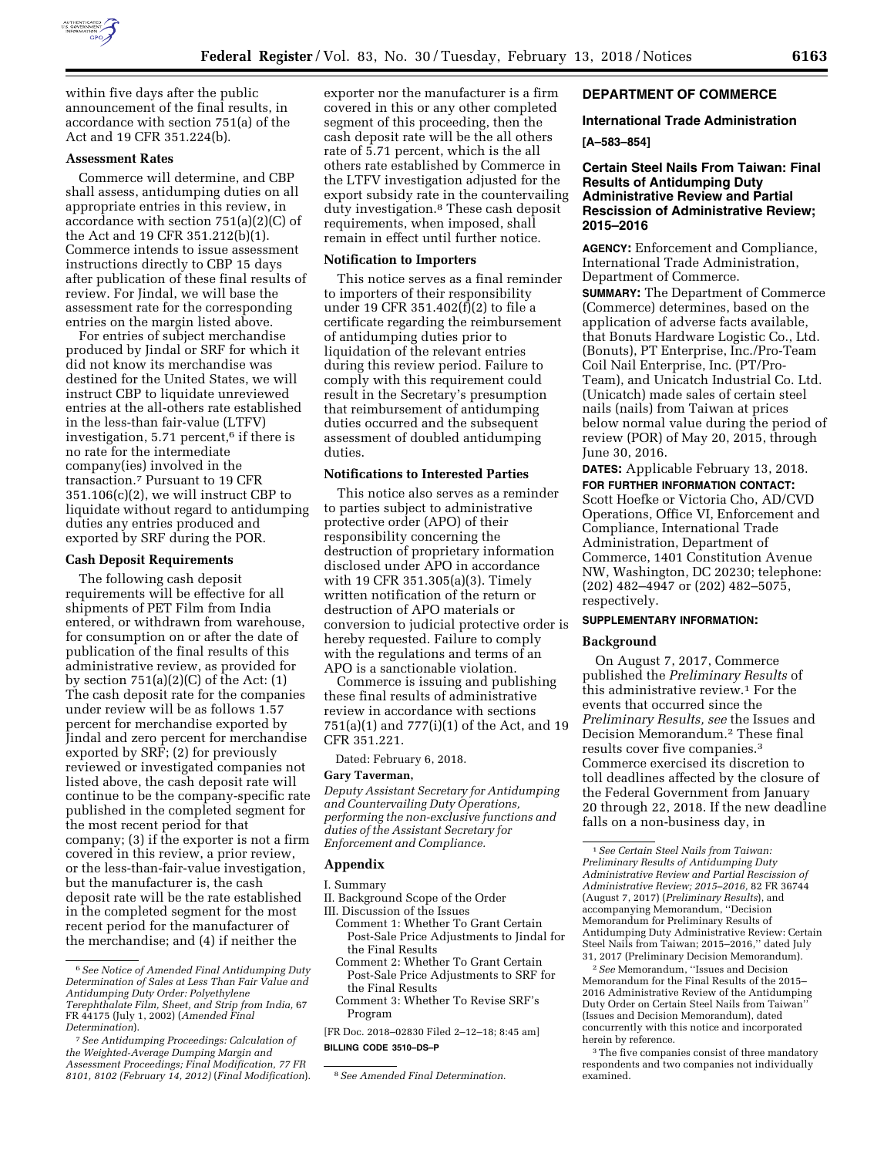

within five days after the public announcement of the final results, in accordance with section 751(a) of the Act and 19 CFR 351.224(b).

#### **Assessment Rates**

Commerce will determine, and CBP shall assess, antidumping duties on all appropriate entries in this review, in accordance with section 751(a)(2)(C) of the Act and 19 CFR 351.212(b)(1). Commerce intends to issue assessment instructions directly to CBP 15 days after publication of these final results of review. For Jindal, we will base the assessment rate for the corresponding entries on the margin listed above.

For entries of subject merchandise produced by Jindal or SRF for which it did not know its merchandise was destined for the United States, we will instruct CBP to liquidate unreviewed entries at the all-others rate established in the less-than fair-value (LTFV) investigation, 5.71 percent,<sup>6</sup> if there is no rate for the intermediate company(ies) involved in the transaction.7 Pursuant to 19 CFR 351.106(c)(2), we will instruct CBP to liquidate without regard to antidumping duties any entries produced and exported by SRF during the POR.

#### **Cash Deposit Requirements**

The following cash deposit requirements will be effective for all shipments of PET Film from India entered, or withdrawn from warehouse, for consumption on or after the date of publication of the final results of this administrative review, as provided for by section  $751(a)(2)(C)$  of the Act:  $(1)$ The cash deposit rate for the companies under review will be as follows 1.57 percent for merchandise exported by Jindal and zero percent for merchandise exported by SRF; (2) for previously reviewed or investigated companies not listed above, the cash deposit rate will continue to be the company-specific rate published in the completed segment for the most recent period for that company; (3) if the exporter is not a firm covered in this review, a prior review, or the less-than-fair-value investigation, but the manufacturer is, the cash deposit rate will be the rate established in the completed segment for the most recent period for the manufacturer of the merchandise; and (4) if neither the

exporter nor the manufacturer is a firm covered in this or any other completed segment of this proceeding, then the cash deposit rate will be the all others rate of 5.71 percent, which is the all others rate established by Commerce in the LTFV investigation adjusted for the export subsidy rate in the countervailing duty investigation.8 These cash deposit requirements, when imposed, shall remain in effect until further notice.

#### **Notification to Importers**

This notice serves as a final reminder to importers of their responsibility under 19 CFR 351.402(f)(2) to file a certificate regarding the reimbursement of antidumping duties prior to liquidation of the relevant entries during this review period. Failure to comply with this requirement could result in the Secretary's presumption that reimbursement of antidumping duties occurred and the subsequent assessment of doubled antidumping duties.

## **Notifications to Interested Parties**

This notice also serves as a reminder to parties subject to administrative protective order (APO) of their responsibility concerning the destruction of proprietary information disclosed under APO in accordance with 19 CFR 351.305(a)(3). Timely written notification of the return or destruction of APO materials or conversion to judicial protective order is hereby requested. Failure to comply with the regulations and terms of an APO is a sanctionable violation.

Commerce is issuing and publishing these final results of administrative review in accordance with sections 751(a)(1) and 777(i)(1) of the Act, and 19 CFR 351.221.

Dated: February 6, 2018.

#### **Gary Taverman,**

*Deputy Assistant Secretary for Antidumping and Countervailing Duty Operations, performing the non-exclusive functions and duties of the Assistant Secretary for Enforcement and Compliance.* 

#### **Appendix**

I. Summary

II. Background Scope of the Order

III. Discussion of the Issues

- Comment 1: Whether To Grant Certain Post-Sale Price Adjustments to Jindal for the Final Results
- Comment 2: Whether To Grant Certain Post-Sale Price Adjustments to SRF for the Final Results
- Comment 3: Whether To Revise SRF's Program
- [FR Doc. 2018–02830 Filed 2–12–18; 8:45 am] **BILLING CODE 3510–DS–P**

#### **DEPARTMENT OF COMMERCE**

# **International Trade Administration**

## **[A–583–854]**

# **Certain Steel Nails From Taiwan: Final Results of Antidumping Duty Administrative Review and Partial Rescission of Administrative Review; 2015–2016**

**AGENCY:** Enforcement and Compliance, International Trade Administration, Department of Commerce.

**SUMMARY:** The Department of Commerce (Commerce) determines, based on the application of adverse facts available, that Bonuts Hardware Logistic Co., Ltd. (Bonuts), PT Enterprise, Inc./Pro-Team Coil Nail Enterprise, Inc. (PT/Pro-Team), and Unicatch Industrial Co. Ltd. (Unicatch) made sales of certain steel nails (nails) from Taiwan at prices below normal value during the period of review (POR) of May 20, 2015, through June 30, 2016.

**DATES:** Applicable February 13, 2018.

**FOR FURTHER INFORMATION CONTACT:**  Scott Hoefke or Victoria Cho, AD/CVD Operations, Office VI, Enforcement and Compliance, International Trade Administration, Department of Commerce, 1401 Constitution Avenue NW, Washington, DC 20230; telephone: (202) 482–4947 or (202) 482–5075, respectively.

# **SUPPLEMENTARY INFORMATION:**

#### **Background**

On August 7, 2017, Commerce published the *Preliminary Results* of this administrative review.1 For the events that occurred since the *Preliminary Results, see* the Issues and Decision Memorandum.2 These final results cover five companies.3 Commerce exercised its discretion to toll deadlines affected by the closure of the Federal Government from January 20 through 22, 2018. If the new deadline falls on a non-business day, in

2*See* Memorandum, ''Issues and Decision Memorandum for the Final Results of the 2015– 2016 Administrative Review of the Antidumping Duty Order on Certain Steel Nails from Taiwan'' (Issues and Decision Memorandum), dated concurrently with this notice and incorporated herein by reference.

<sup>3</sup>The five companies consist of three mandatory respondents and two companies not individually examined.

<sup>6</sup>*See Notice of Amended Final Antidumping Duty Determination of Sales at Less Than Fair Value and Antidumping Duty Order: Polyethylene Terephthalate Film, Sheet, and Strip from India,* 67 FR 44175 (July 1, 2002) (*Amended Final Determination*).

<sup>7</sup>*See Antidumping Proceedings: Calculation of the Weighted-Average Dumping Margin and Assessment Proceedings; Final Modification, 77 FR 8101, 8102 (February 14, 2012)* (*Final Modification*). 8*See Amended Final Determination.* 

<sup>1</sup>*See Certain Steel Nails from Taiwan: Preliminary Results of Antidumping Duty Administrative Review and Partial Rescission of Administrative Review; 2015–2016,* 82 FR 36744 (August 7, 2017) (*Preliminary Results*), and accompanying Memorandum, ''Decision Memorandum for Preliminary Results of Antidumping Duty Administrative Review: Certain Steel Nails from Taiwan; 2015–2016,'' dated July 31, 2017 (Preliminary Decision Memorandum).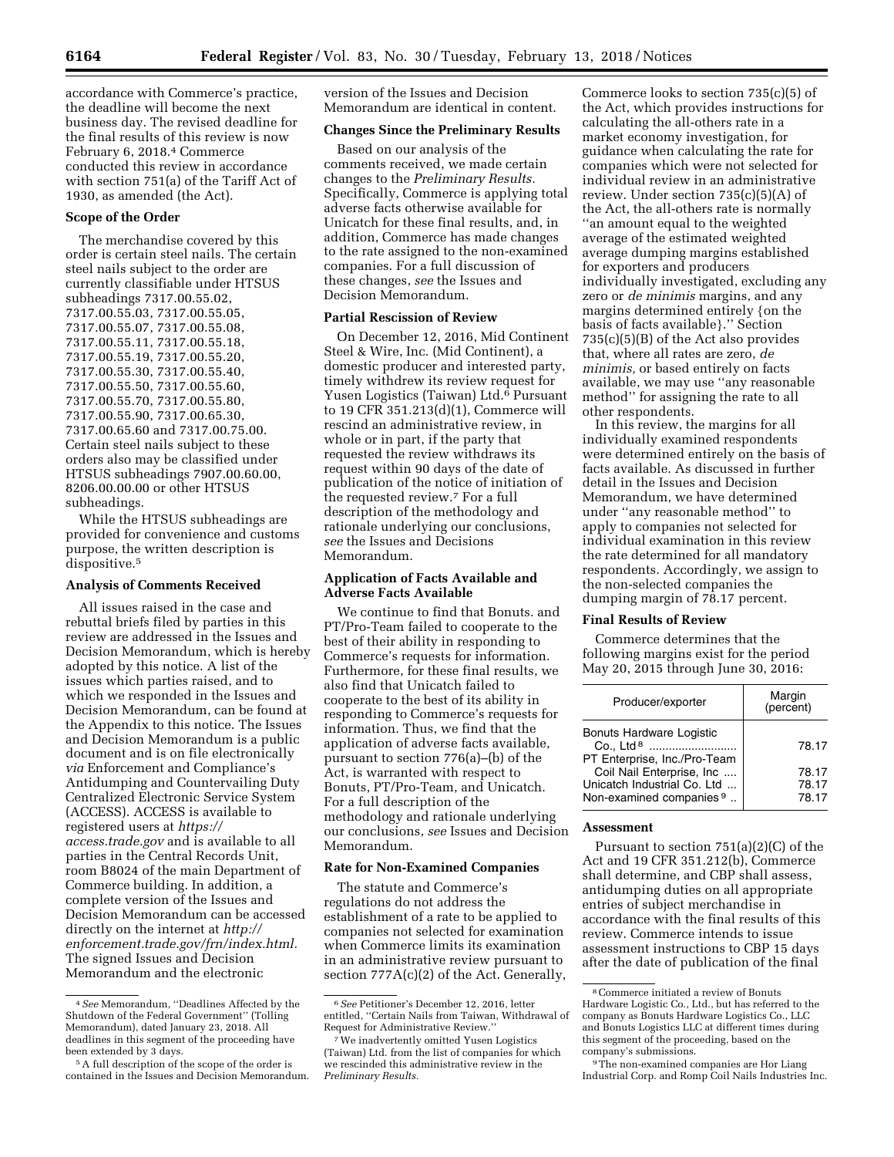accordance with Commerce's practice, the deadline will become the next business day. The revised deadline for the final results of this review is now February 6, 2018.4 Commerce conducted this review in accordance with section 751(a) of the Tariff Act of 1930, as amended (the Act).

# **Scope of the Order**

The merchandise covered by this order is certain steel nails. The certain steel nails subject to the order are currently classifiable under HTSUS subheadings 7317.00.55.02, 7317.00.55.03, 7317.00.55.05, 7317.00.55.07, 7317.00.55.08, 7317.00.55.11, 7317.00.55.18, 7317.00.55.19, 7317.00.55.20, 7317.00.55.30, 7317.00.55.40, 7317.00.55.50, 7317.00.55.60, 7317.00.55.70, 7317.00.55.80, 7317.00.55.90, 7317.00.65.30, 7317.00.65.60 and 7317.00.75.00. Certain steel nails subject to these orders also may be classified under HTSUS subheadings 7907.00.60.00, 8206.00.00.00 or other HTSUS subheadings.

While the HTSUS subheadings are provided for convenience and customs purpose, the written description is dispositive.<sup>5</sup>

#### **Analysis of Comments Received**

All issues raised in the case and rebuttal briefs filed by parties in this review are addressed in the Issues and Decision Memorandum, which is hereby adopted by this notice. A list of the issues which parties raised, and to which we responded in the Issues and Decision Memorandum, can be found at the Appendix to this notice. The Issues and Decision Memorandum is a public document and is on file electronically *via* Enforcement and Compliance's Antidumping and Countervailing Duty Centralized Electronic Service System (ACCESS). ACCESS is available to registered users at *[https://](https://access.trade.gov) [access.trade.gov](https://access.trade.gov)* and is available to all parties in the Central Records Unit, room B8024 of the main Department of Commerce building. In addition, a complete version of the Issues and Decision Memorandum can be accessed directly on the internet at *[http://](http://enforcement.trade.gov/frn/index.html) [enforcement.trade.gov/frn/index.html.](http://enforcement.trade.gov/frn/index.html)*  The signed Issues and Decision Memorandum and the electronic

version of the Issues and Decision Memorandum are identical in content.

# **Changes Since the Preliminary Results**

Based on our analysis of the comments received, we made certain changes to the *Preliminary Results.*  Specifically, Commerce is applying total adverse facts otherwise available for Unicatch for these final results, and, in addition, Commerce has made changes to the rate assigned to the non-examined companies. For a full discussion of these changes, *see* the Issues and Decision Memorandum.

### **Partial Rescission of Review**

On December 12, 2016, Mid Continent Steel & Wire, Inc. (Mid Continent), a domestic producer and interested party, timely withdrew its review request for Yusen Logistics (Taiwan) Ltd.6 Pursuant to 19 CFR 351.213(d)(1), Commerce will rescind an administrative review, in whole or in part, if the party that requested the review withdraws its request within 90 days of the date of publication of the notice of initiation of the requested review.7 For a full description of the methodology and rationale underlying our conclusions, *see* the Issues and Decisions Memorandum.

# **Application of Facts Available and Adverse Facts Available**

We continue to find that Bonuts. and PT/Pro-Team failed to cooperate to the best of their ability in responding to Commerce's requests for information. Furthermore, for these final results, we also find that Unicatch failed to cooperate to the best of its ability in responding to Commerce's requests for information. Thus, we find that the application of adverse facts available, pursuant to section 776(a)–(b) of the Act, is warranted with respect to Bonuts, PT/Pro-Team, and Unicatch. For a full description of the methodology and rationale underlying our conclusions, *see* Issues and Decision Memorandum.

#### **Rate for Non-Examined Companies**

The statute and Commerce's regulations do not address the establishment of a rate to be applied to companies not selected for examination when Commerce limits its examination in an administrative review pursuant to section 777A(c)(2) of the Act. Generally,

Commerce looks to section 735(c)(5) of the Act, which provides instructions for calculating the all-others rate in a market economy investigation, for guidance when calculating the rate for companies which were not selected for individual review in an administrative review. Under section 735(c)(5)(A) of the Act, the all-others rate is normally ''an amount equal to the weighted average of the estimated weighted average dumping margins established for exporters and producers individually investigated, excluding any zero or *de minimis* margins, and any margins determined entirely {on the basis of facts available}.'' Section 735(c)(5)(B) of the Act also provides that, where all rates are zero, *de minimis,* or based entirely on facts available, we may use ''any reasonable method'' for assigning the rate to all other respondents.

In this review, the margins for all individually examined respondents were determined entirely on the basis of facts available. As discussed in further detail in the Issues and Decision Memorandum, we have determined under ''any reasonable method'' to apply to companies not selected for individual examination in this review the rate determined for all mandatory respondents. Accordingly, we assign to the non-selected companies the dumping margin of 78.17 percent.

## **Final Results of Review**

Commerce determines that the following margins exist for the period May 20, 2015 through June 30, 2016:

| Producer/exporter                                                                        | Margin<br>(percent)     |
|------------------------------------------------------------------------------------------|-------------------------|
| <b>Bonuts Hardware Logistic</b><br>Co., Ltd <sup>8</sup><br>PT Enterprise, Inc./Pro-Team | 78.17                   |
| Coil Nail Enterprise, Inc<br>Unicatch Industrial Co. Ltd<br>Non-examined companies 9     | 78.17<br>78.17<br>78.17 |

#### **Assessment**

Pursuant to section 751(a)(2)(C) of the Act and 19 CFR 351.212(b), Commerce shall determine, and CBP shall assess, antidumping duties on all appropriate entries of subject merchandise in accordance with the final results of this review. Commerce intends to issue assessment instructions to CBP 15 days after the date of publication of the final

<sup>4</sup>*See* Memorandum, ''Deadlines Affected by the Shutdown of the Federal Government'' (Tolling Memorandum), dated January 23, 2018. All deadlines in this segment of the proceeding have been extended by 3 days.

<sup>5</sup>A full description of the scope of the order is contained in the Issues and Decision Memorandum.

<sup>6</sup>*See* Petitioner's December 12, 2016, letter entitled, ''Certain Nails from Taiwan, Withdrawal of Request for Administrative Review.

<sup>7</sup>We inadvertently omitted Yusen Logistics (Taiwan) Ltd. from the list of companies for which we rescinded this administrative review in the *Preliminary Results.* 

<sup>8</sup>Commerce initiated a review of Bonuts Hardware Logistic Co., Ltd., but has referred to the company as Bonuts Hardware Logistics Co., LLC and Bonuts Logistics LLC at different times during this segment of the proceeding, based on the company's submissions.

<sup>9</sup>The non-examined companies are Hor Liang Industrial Corp. and Romp Coil Nails Industries Inc.